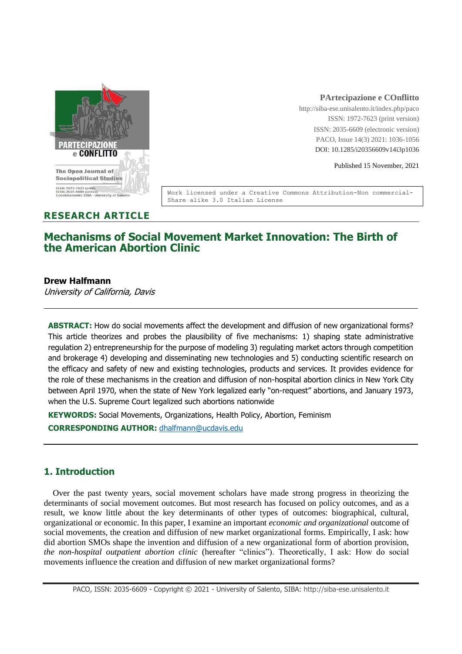

#### **PArtecipazione e COnflitto**

http://siba-ese.unisalento.it/index.php/paco ISSN: 1972-7623 (print version) ISSN: 2035-6609 (electronic version) PACO, Issue 14(3) 2021: 1036-1056 DOI: 10.1285/i20356609v14i3p1036

Published 15 November, 2021

Work licensed under a Creative Commons Attribution-Non commercial-Share alike 3.0 Italian License

## **RESEARCH ARTICLE**

# **Mechanisms of Social Movement Market Innovation: The Birth of the American Abortion Clinic**

#### **Drew Halfmann**

University of California, Davis

**ABSTRACT:** How do social movements affect the development and diffusion of new organizational forms? This article theorizes and probes the plausibility of five mechanisms: 1) shaping state administrative regulation 2) entrepreneurship for the purpose of modeling 3) regulating market actors through competition and brokerage 4) developing and disseminating new technologies and 5) conducting scientific research on the efficacy and safety of new and existing technologies, products and services. It provides evidence for the role of these mechanisms in the creation and diffusion of non-hospital abortion clinics in New York City between April 1970, when the state of New York legalized early "on-request" abortions, and January 1973, when the U.S. Supreme Court legalized such abortions nationwide

**KEYWORDS:** Social Movements, Organizations, Health Policy, Abortion, Feminism

**CORRESPONDING AUTHOR:** [dhalfmann@ucdavis.edu](mailto:dhalfmann@ucdavis.edu)

# **1. Introduction**

Over the past twenty years, social movement scholars have made strong progress in theorizing the determinants of social movement outcomes. But most research has focused on policy outcomes, and as a result, we know little about the key determinants of other types of outcomes: biographical, cultural, organizational or economic. In this paper, I examine an important *economic and organizational* outcome of social movements, the creation and diffusion of new market organizational forms. Empirically, I ask: how did abortion SMOs shape the invention and diffusion of a new organizational form of abortion provision, *the non-hospital outpatient abortion clinic* (hereafter "clinics"). Theoretically, I ask: How do social movements influence the creation and diffusion of new market organizational forms?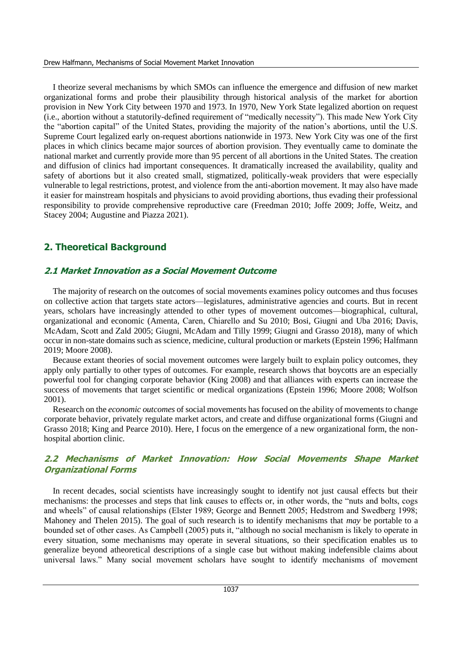I theorize several mechanisms by which SMOs can influence the emergence and diffusion of new market organizational forms and probe their plausibility through historical analysis of the market for abortion provision in New York City between 1970 and 1973. In 1970, New York State legalized abortion on request (i.e., abortion without a statutorily-defined requirement of "medically necessity"). This made New York City the "abortion capital" of the United States, providing the majority of the nation's abortions, until the U.S. Supreme Court legalized early on-request abortions nationwide in 1973. New York City was one of the first places in which clinics became major sources of abortion provision. They eventually came to dominate the national market and currently provide more than 95 percent of all abortions in the United States. The creation and diffusion of clinics had important consequences. It dramatically increased the availability, quality and safety of abortions but it also created small, stigmatized, politically-weak providers that were especially vulnerable to legal restrictions, protest, and violence from the anti-abortion movement. It may also have made it easier for mainstream hospitals and physicians to avoid providing abortions, thus evading their professional responsibility to provide comprehensive reproductive care (Freedman 2010; Joffe 2009; Joffe, Weitz, and Stacey 2004; Augustine and Piazza 2021).

# **2. Theoretical Background**

## **2.1 Market Innovation as a Social Movement Outcome**

The majority of research on the outcomes of social movements examines policy outcomes and thus focuses on collective action that targets state actors—legislatures, administrative agencies and courts. But in recent years, scholars have increasingly attended to other types of movement outcomes—biographical, cultural, organizational and economic (Amenta, Caren, Chiarello and Su 2010; Bosi, Giugni and Uba 2016; Davis, McAdam, Scott and Zald 2005; Giugni, McAdam and Tilly 1999; Giugni and Grasso 2018), many of which occur in non-state domains such as science, medicine, cultural production or markets (Epstein 1996; Halfmann 2019; Moore 2008).

Because extant theories of social movement outcomes were largely built to explain policy outcomes, they apply only partially to other types of outcomes. For example, research shows that boycotts are an especially powerful tool for changing corporate behavior (King 2008) and that alliances with experts can increase the success of movements that target scientific or medical organizations (Epstein 1996; Moore 2008; Wolfson 2001).

Research on the *economic outcomes* of social movements has focused on the ability of movements to change corporate behavior, privately regulate market actors, and create and diffuse organizational forms (Giugni and Grasso 2018; King and Pearce 2010). Here, I focus on the emergence of a new organizational form, the nonhospital abortion clinic.

## **2.2 Mechanisms of Market Innovation: How Social Movements Shape Market Organizational Forms**

In recent decades, social scientists have increasingly sought to identify not just causal effects but their mechanisms: the processes and steps that link causes to effects or, in other words, the "nuts and bolts, cogs and wheels" of causal relationships (Elster 1989; George and Bennett 2005; Hedstrom and Swedberg 1998; Mahoney and Thelen 2015). The goal of such research is to identify mechanisms that *may* be portable to a bounded set of other cases. As Campbell (2005) puts it, "although no social mechanism is likely to operate in every situation, some mechanisms may operate in several situations, so their specification enables us to generalize beyond atheoretical descriptions of a single case but without making indefensible claims about universal laws." Many social movement scholars have sought to identify mechanisms of movement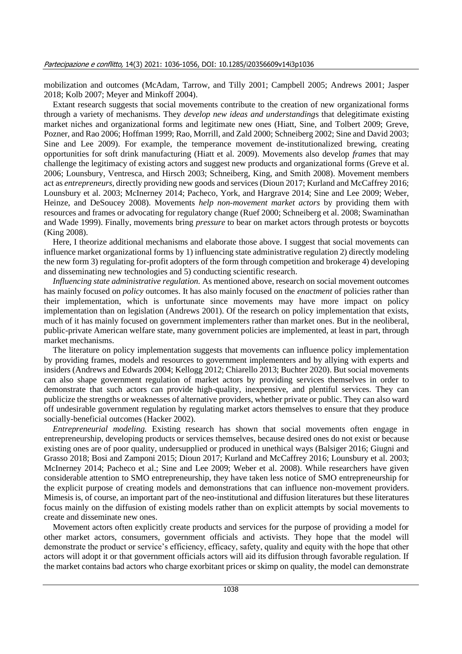mobilization and outcomes (McAdam, Tarrow, and Tilly 2001; Campbell 2005; Andrews 2001; Jasper 2018; Kolb 2007; Meyer and Minkoff 2004).

Extant research suggests that social movements contribute to the creation of new organizational forms through a variety of mechanisms. They *develop new ideas and understanding*s that delegitimate existing market niches and organizational forms and legitimate new ones (Hiatt, Sine, and Tolbert 2009; Greve, Pozner, and Rao 2006; Hoffman 1999; Rao, Morrill, and Zald 2000; Schneiberg 2002; Sine and David 2003; Sine and Lee 2009). For example, the temperance movement de-institutionalized brewing, creating opportunities for soft drink manufacturing (Hiatt et al. 2009). Movements also develop *frames* that may challenge the legitimacy of existing actors and suggest new products and organizational forms (Greve et al. 2006; Lounsbury, Ventresca, and Hirsch 2003; Schneiberg, King, and Smith 2008). Movement members act as *entrepreneurs,* directly providing new goods and services (Dioun 2017; Kurland and McCaffrey 2016; Lounsbury et al. 2003; McInerney 2014; Pacheco, York, and Hargrave 2014; Sine and Lee 2009; Weber, Heinze, and DeSoucey 2008). Movements *help non-movement market actors* by providing them with resources and frames or advocating for regulatory change (Ruef 2000; Schneiberg et al. 2008; Swaminathan and Wade 1999). Finally, movements bring *pressure* to bear on market actors through protests or boycotts (King 2008).

Here, I theorize additional mechanisms and elaborate those above. I suggest that social movements can influence market organizational forms by 1) influencing state administrative regulation 2) directly modeling the new form 3) regulating for-profit adopters of the form through competition and brokerage 4) developing and disseminating new technologies and 5) conducting scientific research.

*Influencing state administrative regulation.* As mentioned above, research on social movement outcomes has mainly focused on *policy* outcomes. It has also mainly focused on the *enactment* of policies rather than their implementation, which is unfortunate since movements may have more impact on policy implementation than on legislation (Andrews 2001). Of the research on policy implementation that exists, much of it has mainly focused on government implementers rather than market ones. But in the neoliberal, public-private American welfare state, many government policies are implemented, at least in part, through market mechanisms.

The literature on policy implementation suggests that movements can influence policy implementation by providing frames, models and resources to government implementers and by allying with experts and insiders (Andrews and Edwards 2004; Kellogg 2012; Chiarello 2013; Buchter 2020). But social movements can also shape government regulation of market actors by providing services themselves in order to demonstrate that such actors can provide high-quality, inexpensive, and plentiful services. They can publicize the strengths or weaknesses of alternative providers, whether private or public. They can also ward off undesirable government regulation by regulating market actors themselves to ensure that they produce socially-beneficial outcomes (Hacker 2002).

*Entrepreneurial modeling.* Existing research has shown that social movements often engage in entrepreneurship, developing products or services themselves, because desired ones do not exist or because existing ones are of poor quality, undersupplied or produced in unethical ways (Balsiger 2016; Giugni and Grasso 2018; Bosi and Zamponi 2015; Dioun 2017; Kurland and McCaffrey 2016; Lounsbury et al. 2003; McInerney 2014; Pacheco et al.; Sine and Lee 2009; Weber et al. 2008). While researchers have given considerable attention to SMO entrepreneurship, they have taken less notice of SMO entrepreneurship for the explicit purpose of creating models and demonstrations that can influence non-movement providers. Mimesis is, of course, an important part of the neo-institutional and diffusion literatures but these literatures focus mainly on the diffusion of existing models rather than on explicit attempts by social movements to create and disseminate new ones.

Movement actors often explicitly create products and services for the purpose of providing a model for other market actors, consumers, government officials and activists. They hope that the model will demonstrate the product or service's efficiency, efficacy, safety, quality and equity with the hope that other actors will adopt it or that government officials actors will aid its diffusion through favorable regulation. If the market contains bad actors who charge exorbitant prices or skimp on quality, the model can demonstrate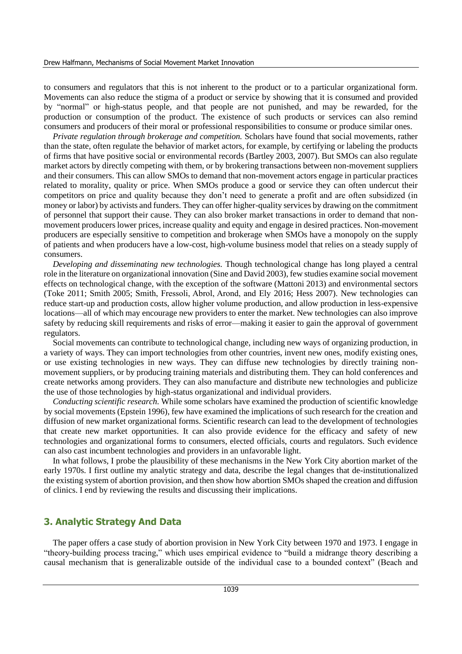to consumers and regulators that this is not inherent to the product or to a particular organizational form. Movements can also reduce the stigma of a product or service by showing that it is consumed and provided by "normal" or high-status people, and that people are not punished, and may be rewarded, for the production or consumption of the product. The existence of such products or services can also remind consumers and producers of their moral or professional responsibilities to consume or produce similar ones.

*Private regulation through brokerage and competition.* Scholars have found that social movements, rather than the state, often regulate the behavior of market actors, for example, by certifying or labeling the products of firms that have positive social or environmental records (Bartley 2003, 2007). But SMOs can also regulate market actors by directly competing with them, or by brokering transactions between non-movement suppliers and their consumers. This can allow SMOs to demand that non-movement actors engage in particular practices related to morality, quality or price. When SMOs produce a good or service they can often undercut their competitors on price and quality because they don't need to generate a profit and are often subsidized (in money or labor) by activists and funders. They can offer higher-quality services by drawing on the commitment of personnel that support their cause. They can also broker market transactions in order to demand that nonmovement producers lower prices, increase quality and equity and engage in desired practices. Non-movement producers are especially sensitive to competition and brokerage when SMOs have a monopoly on the supply of patients and when producers have a low-cost, high-volume business model that relies on a steady supply of consumers.

*Developing and disseminating new technologies.* Though technological change has long played a central role in the literature on organizational innovation (Sine and David 2003), few studies examine social movement effects on technological change, with the exception of the software (Mattoni 2013) and environmental sectors (Toke 2011; Smith 2005; Smith, Fressoli, Abrol, Arond, and Ely 2016; Hess 2007). New technologies can reduce start-up and production costs, allow higher volume production, and allow production in less-expensive locations—all of which may encourage new providers to enter the market. New technologies can also improve safety by reducing skill requirements and risks of error—making it easier to gain the approval of government regulators.

Social movements can contribute to technological change, including new ways of organizing production, in a variety of ways. They can import technologies from other countries, invent new ones, modify existing ones, or use existing technologies in new ways. They can diffuse new technologies by directly training nonmovement suppliers, or by producing training materials and distributing them. They can hold conferences and create networks among providers. They can also manufacture and distribute new technologies and publicize the use of those technologies by high-status organizational and individual providers.

*Conducting scientific research.* While some scholars have examined the production of scientific knowledge by social movements (Epstein 1996), few have examined the implications of such research for the creation and diffusion of new market organizational forms. Scientific research can lead to the development of technologies that create new market opportunities. It can also provide evidence for the efficacy and safety of new technologies and organizational forms to consumers, elected officials, courts and regulators. Such evidence can also cast incumbent technologies and providers in an unfavorable light.

In what follows, I probe the plausibility of these mechanisms in the New York City abortion market of the early 1970s. I first outline my analytic strategy and data, describe the legal changes that de-institutionalized the existing system of abortion provision, and then show how abortion SMOs shaped the creation and diffusion of clinics. I end by reviewing the results and discussing their implications.

## **3. Analytic Strategy And Data**

The paper offers a case study of abortion provision in New York City between 1970 and 1973. I engage in "theory-building process tracing," which uses empirical evidence to "build a midrange theory describing a causal mechanism that is generalizable outside of the individual case to a bounded context" (Beach and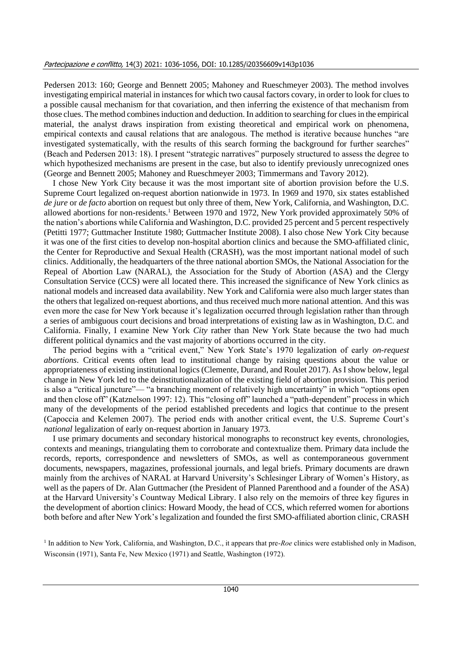Pedersen 2013: 160; George and Bennett 2005; Mahoney and Rueschmeyer 2003). The method involves investigating empirical material in instances for which two causal factors covary, in order to look for clues to a possible causal mechanism for that covariation, and then inferring the existence of that mechanism from those clues. The method combines induction and deduction. In addition to searching for clues in the empirical material, the analyst draws inspiration from existing theoretical and empirical work on phenomena, empirical contexts and causal relations that are analogous. The method is iterative because hunches "are investigated systematically, with the results of this search forming the background for further searches" (Beach and Pedersen 2013: 18). I present "strategic narratives" purposely structured to assess the degree to which hypothesized mechanisms are present in the case, but also to identify previously unrecognized ones (George and Bennett 2005; Mahoney and Rueschmeyer 2003; Timmermans and Tavory 2012).

I chose New York City because it was the most important site of abortion provision before the U.S. Supreme Court legalized on-request abortion nationwide in 1973. In 1969 and 1970, six states established *de jure* or *de facto* abortion on request but only three of them, New York, California, and Washington, D.C. allowed abortions for non-residents.<sup>1</sup> Between 1970 and 1972, New York provided approximately 50% of the nation's abortions while California and Washington, D.C. provided 25 percent and 5 percent respectively (Petitti 1977; Guttmacher Institute 1980; Guttmacher Institute 2008). I also chose New York City because it was one of the first cities to develop non-hospital abortion clinics and because the SMO-affiliated clinic, the Center for Reproductive and Sexual Health (CRASH), was the most important national model of such clinics. Additionally, the headquarters of the three national abortion SMOs, the National Association for the Repeal of Abortion Law (NARAL), the Association for the Study of Abortion (ASA) and the Clergy Consultation Service (CCS) were all located there. This increased the significance of New York clinics as national models and increased data availability. New York and California were also much larger states than the others that legalized on-request abortions, and thus received much more national attention. And this was even more the case for New York because it's legalization occurred through legislation rather than through a series of ambiguous court decisions and broad interpretations of existing law as in Washington, D.C. and California. Finally, I examine New York *City* rather than New York State because the two had much different political dynamics and the vast majority of abortions occurred in the city.

The period begins with a "critical event," New York State's 1970 legalization of early *on-request abortions*. Critical events often lead to institutional change by raising questions about the value or appropriateness of existing institutional logics (Clemente, Durand, and Roulet 2017). As I show below, legal change in New York led to the deinstitutionalization of the existing field of abortion provision. This period is also a "critical juncture"— "a branching moment of relatively high uncertainty" in which "options open and then close off" (Katznelson 1997: 12). This "closing off" launched a "path-dependent" process in which many of the developments of the period established precedents and logics that continue to the present (Capoccia and Kelemen 2007). The period ends with another critical event, the U.S. Supreme Court's *national* legalization of early on-request abortion in January 1973.

I use primary documents and secondary historical monographs to reconstruct key events, chronologies, contexts and meanings, triangulating them to corroborate and contextualize them. Primary data include the records, reports, correspondence and newsletters of SMOs, as well as contemporaneous government documents, newspapers, magazines, professional journals, and legal briefs. Primary documents are drawn mainly from the archives of NARAL at Harvard University's Schlesinger Library of Women's History, as well as the papers of Dr. Alan Guttmacher (the President of Planned Parenthood and a founder of the ASA) at the Harvard University's Countway Medical Library. I also rely on the memoirs of three key figures in the development of abortion clinics: Howard Moody, the head of CCS, which referred women for abortions both before and after New York's legalization and founded the first SMO-affiliated abortion clinic, CRASH

<sup>1</sup> In addition to New York, California, and Washington, D.C., it appears that pre-*Roe* clinics were established only in Madison, Wisconsin (1971), Santa Fe, New Mexico (1971) and Seattle, Washington (1972).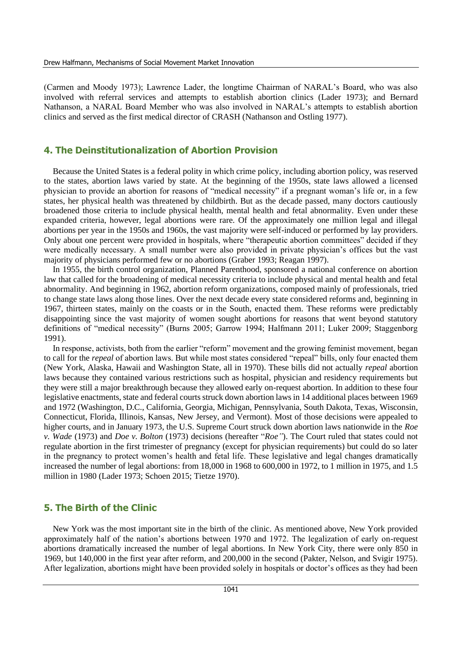(Carmen and Moody 1973); Lawrence Lader, the longtime Chairman of NARAL's Board, who was also involved with referral services and attempts to establish abortion clinics (Lader 1973); and Bernard Nathanson, a NARAL Board Member who was also involved in NARAL's attempts to establish abortion clinics and served as the first medical director of CRASH (Nathanson and Ostling 1977).

### **4. The Deinstitutionalization of Abortion Provision**

Because the United States is a federal polity in which crime policy, including abortion policy, was reserved to the states, abortion laws varied by state. At the beginning of the 1950s, state laws allowed a licensed physician to provide an abortion for reasons of "medical necessity" if a pregnant woman's life or, in a few states, her physical health was threatened by childbirth. But as the decade passed, many doctors cautiously broadened those criteria to include physical health, mental health and fetal abnormality. Even under these expanded criteria, however, legal abortions were rare. Of the approximately one million legal and illegal abortions per year in the 1950s and 1960s, the vast majority were self-induced or performed by lay providers. Only about one percent were provided in hospitals, where "therapeutic abortion committees" decided if they were medically necessary. A small number were also provided in private physician's offices but the vast majority of physicians performed few or no abortions (Graber 1993; Reagan 1997).

In 1955, the birth control organization, Planned Parenthood, sponsored a national conference on abortion law that called for the broadening of medical necessity criteria to include physical and mental health and fetal abnormality. And beginning in 1962, abortion reform organizations, composed mainly of professionals, tried to change state laws along those lines. Over the next decade every state considered reforms and, beginning in 1967, thirteen states, mainly on the coasts or in the South, enacted them. These reforms were predictably disappointing since the vast majority of women sought abortions for reasons that went beyond statutory definitions of "medical necessity" (Burns 2005; Garrow 1994; Halfmann 2011; Luker 2009; Staggenborg 1991).

In response, activists, both from the earlier "reform" movement and the growing feminist movement, began to call for the *repeal* of abortion laws. But while most states considered "repeal" bills, only four enacted them (New York, Alaska, Hawaii and Washington State, all in 1970). These bills did not actually *repeal* abortion laws because they contained various restrictions such as hospital, physician and residency requirements but they were still a major breakthrough because they allowed early on-request abortion. In addition to these four legislative enactments, state and federal courts struck down abortion laws in 14 additional places between 1969 and 1972 (Washington, D.C., California, Georgia, Michigan, Pennsylvania, South Dakota, Texas, Wisconsin, Connecticut, Florida, Illinois, Kansas, New Jersey, and Vermont). Most of those decisions were appealed to higher courts, and in January 1973, the U.S. Supreme Court struck down abortion laws nationwide in the *Roe v. Wade* (1973) and *Doe v. Bolton* (1973) decisions (hereafter "*Roe"*). The Court ruled that states could not regulate abortion in the first trimester of pregnancy (except for physician requirements) but could do so later in the pregnancy to protect women's health and fetal life. These legislative and legal changes dramatically increased the number of legal abortions: from 18,000 in 1968 to 600,000 in 1972, to 1 million in 1975, and 1.5 million in 1980 (Lader 1973; Schoen 2015; Tietze 1970).

## **5. The Birth of the Clinic**

New York was the most important site in the birth of the clinic. As mentioned above, New York provided approximately half of the nation's abortions between 1970 and 1972. The legalization of early on-request abortions dramatically increased the number of legal abortions. In New York City, there were only 850 in 1969, but 140,000 in the first year after reform, and 200,000 in the second (Pakter, Nelson, and Svigir 1975). After legalization, abortions might have been provided solely in hospitals or doctor's offices as they had been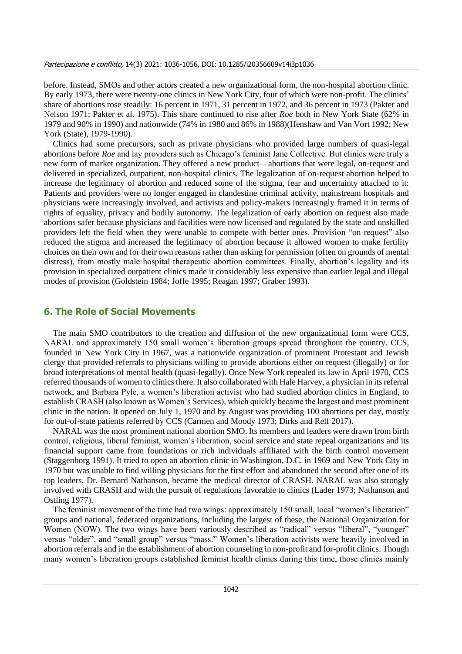before. Instead, SMOs and other actors created a new organizational form, the non-hospital abortion clinic. By early 1973, there were twenty-one clinics in New York City, four of which were non-profit. The clinics' share of abortions rose steadily: 16 percent in 1971, 31 percent in 1972, and 36 percent in 1973 (Pakter and Nelson 1971; Pakter et al. 1975). This share continued to rise after *Roe* both in New York State (62% in 1979 and 90% in 1990) and nationwide (74% in 1980 and 86% in 1988)(Henshaw and Van Vort 1992; New York (State), 1979-1990).

Clinics had some precursors, such as private physicians who provided large numbers of quasi-legal abortions before *Roe* and lay providers such as Chicago's feminist Jane Collective. But clinics were truly a new form of market organization. They offered a new product—abortions that were legal, on-request and delivered in specialized, outpatient, non-hospital clinics. The legalization of on-request abortion helped to increase the legitimacy of abortion and reduced some of the stigma, fear and uncertainty attached to it: Patients and providers were no longer engaged in clandestine criminal activity, mainstream hospitals and physicians were increasingly involved, and activists and policy-makers increasingly framed it in terms of rights of equality, privacy and bodily autonomy. The legalization of early abortion on request also made abortions safer because physicians and facilities were now licensed and regulated by the state and unskilled providers left the field when they were unable to compete with better ones. Provision "on request" also reduced the stigma and increased the legitimacy of abortion because it allowed women to make fertility choices on their own and for their own reasons rather than asking for permission (often on grounds of mental distress), from mostly male hospital therapeutic abortion committees. Finally, abortion's legality and its provision in specialized outpatient clinics made it considerably less expensive than earlier legal and illegal modes of provision (Goldstein 1984; Joffe 1995; Reagan 1997; Graber 1993).

#### **6. The Role of Social Movements**

The main SMO contributors to the creation and diffusion of the new organizational form were CCS, NARAL and approximately 150 small women's liberation groups spread throughout the country. CCS, founded in New York City in 1967, was a nationwide organization of prominent Protestant and Jewish clergy that provided referrals to physicians willing to provide abortions either on request (illegally) or for broad interpretations of mental health (quasi-legally). Once New York repealed its law in April 1970, CCS referred thousands of women to clinics there. It also collaborated with Hale Harvey, a physician in its referral network, and Barbara Pyle, a women's liberation activist who had studied abortion clinics in England, to establish CRASH (also known as Women's Services), which quickly became the largest and most prominent clinic in the nation. It opened on July 1, 1970 and by August was providing 100 abortions per day, mostly for out-of-state patients referred by CCS (Carmen and Moody 1973; Dirks and Relf 2017).

NARAL was the most prominent national abortion SMO. Its members and leaders were drawn from birth control, religious, liberal feminist, women's liberation, social service and state repeal organizations and its financial support came from foundations or rich individuals affiliated with the birth control movement (Staggenborg 1991). It tried to open an abortion clinic in Washington, D.C. in 1969 and New York City in 1970 but was unable to find willing physicians for the first effort and abandoned the second after one of its top leaders, Dr. Bernard Nathanson, became the medical director of CRASH. NARAL was also strongly involved with CRASH and with the pursuit of regulations favorable to clinics (Lader 1973; Nathanson and Ostling 1977).

The feminist movement of the time had two wings: approximately 150 small, local "women's liberation" groups and national, federated organizations, including the largest of these, the National Organization for Women (NOW). The two wings have been variously described as "radical" versus "liberal", "younger" versus "older", and "small group" versus "mass." Women's liberation activists were heavily involved in abortion referrals and in the establishment of abortion counseling in non-profit and for-profit clinics. Though many women's liberation groups established feminist health clinics during this time, those clinics mainly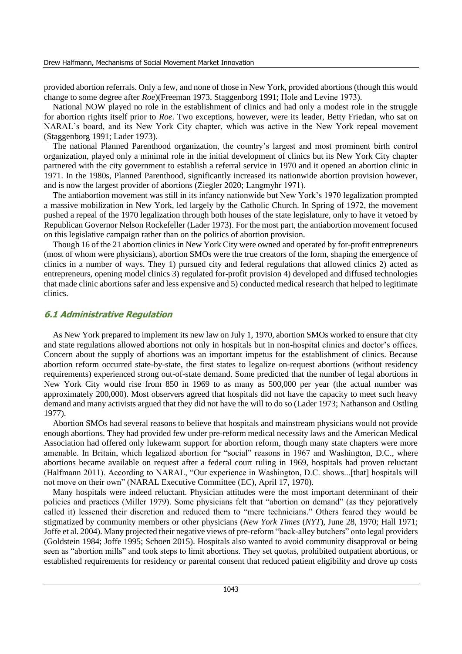provided abortion referrals. Only a few, and none of those in New York, provided abortions (though this would change to some degree after *Roe*)(Freeman 1973, Staggenborg 1991; Hole and Levine 1973).

National NOW played no role in the establishment of clinics and had only a modest role in the struggle for abortion rights itself prior to *Roe*. Two exceptions, however, were its leader, Betty Friedan, who sat on NARAL's board, and its New York City chapter, which was active in the New York repeal movement (Staggenborg 1991; Lader 1973).

The national Planned Parenthood organization, the country's largest and most prominent birth control organization, played only a minimal role in the initial development of clinics but its New York City chapter partnered with the city government to establish a referral service in 1970 and it opened an abortion clinic in 1971. In the 1980s, Planned Parenthood, significantly increased its nationwide abortion provision however, and is now the largest provider of abortions (Ziegler 2020; Langmyhr 1971).

The antiabortion movement was still in its infancy nationwide but New York's 1970 legalization prompted a massive mobilization in New York, led largely by the Catholic Church. In Spring of 1972, the movement pushed a repeal of the 1970 legalization through both houses of the state legislature, only to have it vetoed by Republican Governor Nelson Rockefeller (Lader 1973). For the most part, the antiabortion movement focused on this legislative campaign rather than on the politics of abortion provision.

Though 16 of the 21 abortion clinics in New York City were owned and operated by for-profit entrepreneurs (most of whom were physicians), abortion SMOs were the true creators of the form, shaping the emergence of clinics in a number of ways. They 1) pursued city and federal regulations that allowed clinics 2) acted as entrepreneurs, opening model clinics 3) regulated for-profit provision 4) developed and diffused technologies that made clinic abortions safer and less expensive and 5) conducted medical research that helped to legitimate clinics.

#### **6.1 Administrative Regulation**

As New York prepared to implement its new law on July 1, 1970, abortion SMOs worked to ensure that city and state regulations allowed abortions not only in hospitals but in non-hospital clinics and doctor's offices. Concern about the supply of abortions was an important impetus for the establishment of clinics. Because abortion reform occurred state-by-state, the first states to legalize on-request abortions (without residency requirements) experienced strong out-of-state demand. Some predicted that the number of legal abortions in New York City would rise from 850 in 1969 to as many as 500,000 per year (the actual number was approximately 200,000). Most observers agreed that hospitals did not have the capacity to meet such heavy demand and many activists argued that they did not have the will to do so (Lader 1973; Nathanson and Ostling 1977).

Abortion SMOs had several reasons to believe that hospitals and mainstream physicians would not provide enough abortions. They had provided few under pre-reform medical necessity laws and the American Medical Association had offered only lukewarm support for abortion reform, though many state chapters were more amenable. In Britain, which legalized abortion for "social" reasons in 1967 and Washington, D.C., where abortions became available on request after a federal court ruling in 1969, hospitals had proven reluctant (Halfmann 2011). According to NARAL, "Our experience in Washington, D.C. shows...[that] hospitals will not move on their own" (NARAL Executive Committee (EC), April 17, 1970).

Many hospitals were indeed reluctant. Physician attitudes were the most important determinant of their policies and practices (Miller 1979). Some physicians felt that "abortion on demand" (as they pejoratively called it) lessened their discretion and reduced them to "mere technicians." Others feared they would be stigmatized by community members or other physicians (*New York Times* (*NYT*), June 28, 1970; Hall 1971; Joffe et al. 2004). Many projected their negative views of pre-reform "back-alley butchers" onto legal providers (Goldstein 1984; Joffe 1995; Schoen 2015). Hospitals also wanted to avoid community disapproval or being seen as "abortion mills" and took steps to limit abortions. They set quotas, prohibited outpatient abortions, or established requirements for residency or parental consent that reduced patient eligibility and drove up costs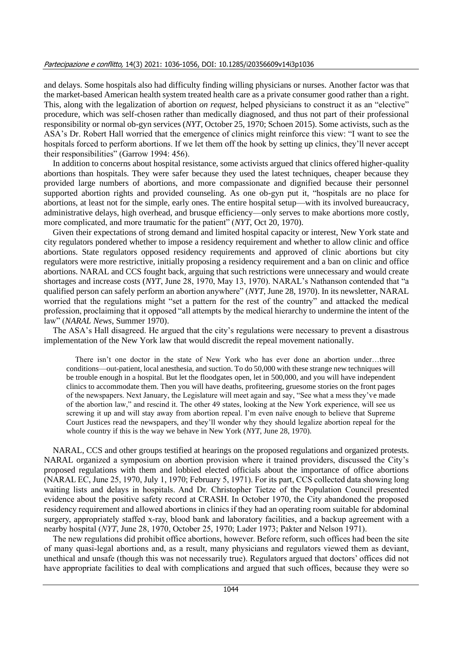and delays. Some hospitals also had difficulty finding willing physicians or nurses. Another factor was that the market-based American health system treated health care as a private consumer good rather than a right. This, along with the legalization of abortion *on request,* helped physicians to construct it as an "elective" procedure, which was self-chosen rather than medically diagnosed, and thus not part of their professional responsibility or normal ob-gyn services (*NYT*, October 25, 1970; Schoen 2015). Some activists, such as the ASA's Dr. Robert Hall worried that the emergence of clinics might reinforce this view: "I want to see the hospitals forced to perform abortions. If we let them off the hook by setting up clinics, they'll never accept their responsibilities" (Garrow 1994: 456).

In addition to concerns about hospital resistance, some activists argued that clinics offered higher-quality abortions than hospitals. They were safer because they used the latest techniques, cheaper because they provided large numbers of abortions, and more compassionate and dignified because their personnel supported abortion rights and provided counseling. As one ob-gyn put it, "hospitals are no place for abortions, at least not for the simple, early ones. The entire hospital setup—with its involved bureaucracy, administrative delays, high overhead, and brusque efficiency—only serves to make abortions more costly, more complicated, and more traumatic for the patient" (*NYT*, Oct 20, 1970).

Given their expectations of strong demand and limited hospital capacity or interest, New York state and city regulators pondered whether to impose a residency requirement and whether to allow clinic and office abortions. State regulators opposed residency requirements and approved of clinic abortions but city regulators were more restrictive, initially proposing a residency requirement and a ban on clinic and office abortions. NARAL and CCS fought back, arguing that such restrictions were unnecessary and would create shortages and increase costs (*NYT*, June 28, 1970, May 13, 1970). NARAL's Nathanson contended that "a qualified person can safely perform an abortion anywhere" (*NYT*, June 28, 1970). In its newsletter, NARAL worried that the regulations might "set a pattern for the rest of the country" and attacked the medical profession, proclaiming that it opposed "all attempts by the medical hierarchy to undermine the intent of the law" (*NARAL News*, Summer 1970).

The ASA's Hall disagreed. He argued that the city's regulations were necessary to prevent a disastrous implementation of the New York law that would discredit the repeal movement nationally.

There isn't one doctor in the state of New York who has ever done an abortion under…three conditions—out-patient, local anesthesia, and suction. To do 50,000 with these strange new techniques will be trouble enough in a hospital. But let the floodgates open, let in 500,000, and you will have independent clinics to accommodate them. Then you will have deaths, profiteering, gruesome stories on the front pages of the newspapers. Next January, the Legislature will meet again and say, "See what a mess they've made of the abortion law," and rescind it. The other 49 states, looking at the New York experience, will see us screwing it up and will stay away from abortion repeal. I'm even naïve enough to believe that Supreme Court Justices read the newspapers, and they'll wonder why they should legalize abortion repeal for the whole country if this is the way we behave in New York (*NYT*, June 28, 1970).

NARAL, CCS and other groups testified at hearings on the proposed regulations and organized protests. NARAL organized a symposium on abortion provision where it trained providers, discussed the City's proposed regulations with them and lobbied elected officials about the importance of office abortions (NARAL EC, June 25, 1970, July 1, 1970; February 5, 1971). For its part, CCS collected data showing long waiting lists and delays in hospitals. And Dr. Christopher Tietze of the Population Council presented evidence about the positive safety record at CRASH. In October 1970, the City abandoned the proposed residency requirement and allowed abortions in clinics if they had an operating room suitable for abdominal surgery, appropriately staffed x-ray, blood bank and laboratory facilities, and a backup agreement with a nearby hospital (*NYT*, June 28, 1970, October 25, 1970; Lader 1973; Pakter and Nelson 1971).

The new regulations did prohibit office abortions, however. Before reform, such offices had been the site of many quasi-legal abortions and, as a result, many physicians and regulators viewed them as deviant, unethical and unsafe (though this was not necessarily true). Regulators argued that doctors' offices did not have appropriate facilities to deal with complications and argued that such offices, because they were so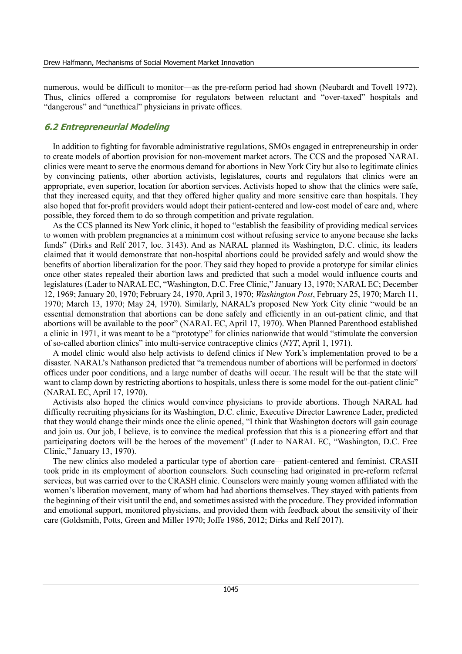numerous, would be difficult to monitor—as the pre-reform period had shown (Neubardt and Tovell 1972). Thus, clinics offered a compromise for regulators between reluctant and "over-taxed" hospitals and "dangerous" and "unethical" physicians in private offices.

#### **6.2 Entrepreneurial Modeling**

In addition to fighting for favorable administrative regulations, SMOs engaged in entrepreneurship in order to create models of abortion provision for non-movement market actors. The CCS and the proposed NARAL clinics were meant to serve the enormous demand for abortions in New York City but also to legitimate clinics by convincing patients, other abortion activists, legislatures, courts and regulators that clinics were an appropriate, even superior, location for abortion services. Activists hoped to show that the clinics were safe, that they increased equity, and that they offered higher quality and more sensitive care than hospitals. They also hoped that for-profit providers would adopt their patient-centered and low-cost model of care and, where possible, they forced them to do so through competition and private regulation.

As the CCS planned its New York clinic, it hoped to "establish the feasibility of providing medical services to women with problem pregnancies at a minimum cost without refusing service to anyone because she lacks funds" (Dirks and Relf 2017, loc. 3143). And as NARAL planned its Washington, D.C. clinic, its leaders claimed that it would demonstrate that non-hospital abortions could be provided safely and would show the benefits of abortion liberalization for the poor. They said they hoped to provide a prototype for similar clinics once other states repealed their abortion laws and predicted that such a model would influence courts and legislatures (Lader to NARAL EC, "Washington, D.C. Free Clinic," January 13, 1970; NARAL EC; December 12, 1969; January 20, 1970; February 24, 1970, April 3, 1970; *Washington Post*, February 25, 1970; March 11, 1970; March 13, 1970; May 24, 1970). Similarly, NARAL's proposed New York City clinic "would be an essential demonstration that abortions can be done safely and efficiently in an out-patient clinic, and that abortions will be available to the poor" (NARAL EC, April 17, 1970). When Planned Parenthood established a clinic in 1971, it was meant to be a "prototype" for clinics nationwide that would "stimulate the conversion of so-called abortion clinics" into multi-service contraceptive clinics (*NYT*, April 1, 1971).

A model clinic would also help activists to defend clinics if New York's implementation proved to be a disaster. NARAL's Nathanson predicted that "a tremendous number of abortions will be performed in doctors' offices under poor conditions, and a large number of deaths will occur. The result will be that the state will want to clamp down by restricting abortions to hospitals, unless there is some model for the out-patient clinic" (NARAL EC, April 17, 1970).

Activists also hoped the clinics would convince physicians to provide abortions. Though NARAL had difficulty recruiting physicians for its Washington, D.C. clinic, Executive Director Lawrence Lader, predicted that they would change their minds once the clinic opened, "I think that Washington doctors will gain courage and join us. Our job, I believe, is to convince the medical profession that this is a pioneering effort and that participating doctors will be the heroes of the movement" (Lader to NARAL EC, "Washington, D.C. Free Clinic," January 13, 1970).

The new clinics also modeled a particular type of abortion care—patient-centered and feminist. CRASH took pride in its employment of abortion counselors. Such counseling had originated in pre-reform referral services, but was carried over to the CRASH clinic. Counselors were mainly young women affiliated with the women's liberation movement, many of whom had had abortions themselves. They stayed with patients from the beginning of their visit until the end, and sometimes assisted with the procedure. They provided information and emotional support, monitored physicians, and provided them with feedback about the sensitivity of their care (Goldsmith, Potts, Green and Miller 1970; Joffe 1986, 2012; Dirks and Relf 2017).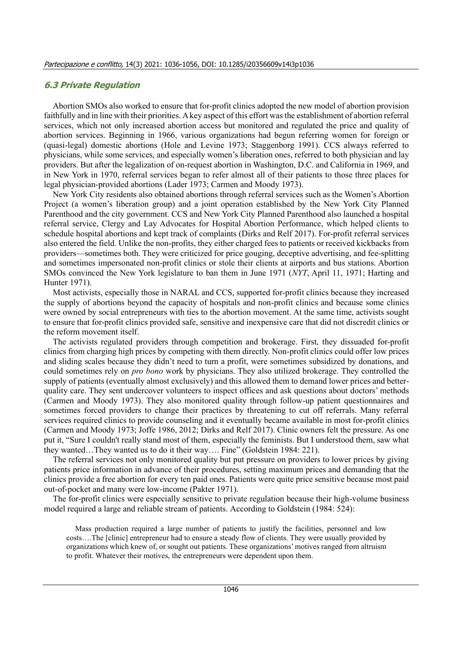#### **6.3 Private Regulation**

Abortion SMOs also worked to ensure that for-profit clinics adopted the new model of abortion provision faithfully and in line with their priorities. A key aspect of this effort was the establishment of abortion referral services, which not only increased abortion access but monitored and regulated the price and quality of abortion services. Beginning in 1966, various organizations had begun referring women for foreign or (quasi-legal) domestic abortions (Hole and Levine 1973; Staggenborg 1991). CCS always referred to physicians, while some services, and especially women's liberation ones, referred to both physician and lay providers. But after the legalization of on-request abortion in Washington, D.C. and California in 1969, and in New York in 1970, referral services began to refer almost all of their patients to those three places for legal physician-provided abortions (Lader 1973; Carmen and Moody 1973).

New York City residents also obtained abortions through referral services such as the Women's Abortion Project (a women's liberation group) and a joint operation established by the New York City Planned Parenthood and the city government. CCS and New York City Planned Parenthood also launched a hospital referral service, Clergy and Lay Advocates for Hospital Abortion Performance, which helped clients to schedule hospital abortions and kept track of complaints (Dirks and Relf 2017). For-profit referral services also entered the field. Unlike the non-profits, they either charged fees to patients or received kickbacks from providers—sometimes both. They were criticized for price gouging, deceptive advertising, and fee-splitting and sometimes impersonated non-profit clinics or stole their clients at airports and bus stations. Abortion SMOs convinced the New York legislature to ban them in June 1971 (*NYT*, April 11, 1971; Harting and Hunter 1971).

Most activists, especially those in NARAL and CCS, supported for-profit clinics because they increased the supply of abortions beyond the capacity of hospitals and non-profit clinics and because some clinics were owned by social entrepreneurs with ties to the abortion movement. At the same time, activists sought to ensure that for-profit clinics provided safe, sensitive and inexpensive care that did not discredit clinics or the reform movement itself.

The activists regulated providers through competition and brokerage. First, they dissuaded for-profit clinics from charging high prices by competing with them directly. Non-profit clinics could offer low prices and sliding scales because they didn't need to turn a profit, were sometimes subsidized by donations, and could sometimes rely on *pro bono* work by physicians. They also utilized brokerage. They controlled the supply of patients (eventually almost exclusively) and this allowed them to demand lower prices and betterquality care. They sent undercover volunteers to inspect offices and ask questions about doctors' methods (Carmen and Moody 1973). They also monitored quality through follow-up patient questionnaires and sometimes forced providers to change their practices by threatening to cut off referrals. Many referral services required clinics to provide counseling and it eventually became available in most for-profit clinics (Carmen and Moody 1973; Joffe 1986, 2012; Dirks and Relf 2017). Clinic owners felt the pressure. As one put it, "Sure I couldn't really stand most of them, especially the feminists. But I understood them, saw what they wanted…They wanted us to do it their way…. Fine" (Goldstein 1984: 221).

The referral services not only monitored quality but put pressure on providers to lower prices by giving patients price information in advance of their procedures, setting maximum prices and demanding that the clinics provide a free abortion for every ten paid ones. Patients were quite price sensitive because most paid out-of-pocket and many were low-income (Pakter 1971).

The for-profit clinics were especially sensitive to private regulation because their high-volume business model required a large and reliable stream of patients. According to Goldstein (1984: 524):

Mass production required a large number of patients to justify the facilities, personnel and low costs….The [clinic] entrepreneur had to ensure a steady flow of clients. They were usually provided by organizations which knew of, or sought out patients. These organizations' motives ranged from altruism to profit. Whatever their motives, the entrepreneurs were dependent upon them.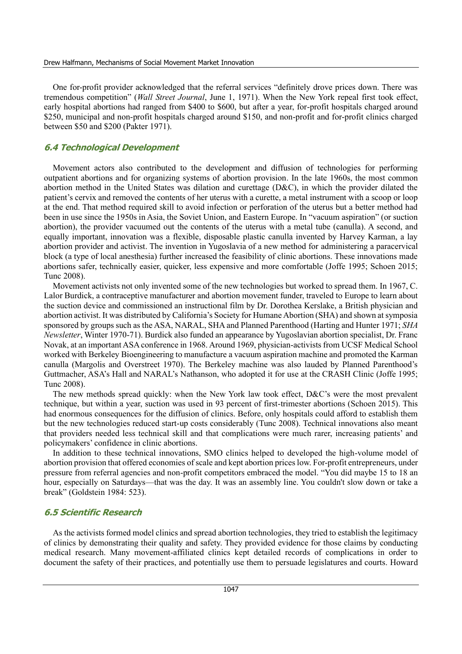One for-profit provider acknowledged that the referral services "definitely drove prices down. There was tremendous competition" (*Wall Street Journal*, June 1, 1971). When the New York repeal first took effect, early hospital abortions had ranged from \$400 to \$600, but after a year, for-profit hospitals charged around \$250, municipal and non-profit hospitals charged around \$150, and non-profit and for-profit clinics charged between \$50 and \$200 (Pakter 1971).

#### **6.4 Technological Development**

Movement actors also contributed to the development and diffusion of technologies for performing outpatient abortions and for organizing systems of abortion provision. In the late 1960s, the most common abortion method in the United States was dilation and curettage (D&C), in which the provider dilated the patient's cervix and removed the contents of her uterus with a curette, a metal instrument with a scoop or loop at the end. That method required skill to avoid infection or perforation of the uterus but a better method had been in use since the 1950s in Asia, the Soviet Union, and Eastern Europe. In "vacuum aspiration" (or suction abortion), the provider vacuumed out the contents of the uterus with a metal tube (canulla). A second, and equally important, innovation was a flexible, disposable plastic canulla invented by Harvey Karman, a lay abortion provider and activist. The invention in Yugoslavia of a new method for administering a paracervical block (a type of local anesthesia) further increased the feasibility of clinic abortions. These innovations made abortions safer, technically easier, quicker, less expensive and more comfortable (Joffe 1995; Schoen 2015; Tunc 2008).

Movement activists not only invented some of the new technologies but worked to spread them. In 1967, C. Lalor Burdick, a contraceptive manufacturer and abortion movement funder, traveled to Europe to learn about the suction device and commissioned an instructional film by Dr. Dorothea Kerslake, a British physician and abortion activist. It was distributed by California's Society for Humane Abortion (SHA) and shown at symposia sponsored by groups such as the ASA, NARAL, SHA and Planned Parenthood (Harting and Hunter 1971; *SHA Newsletter*, Winter 1970-71). Burdick also funded an appearance by Yugoslavian abortion specialist, Dr. Franc Novak, at an important ASA conference in 1968. Around 1969, physician-activists from UCSF Medical School worked with Berkeley Bioengineering to manufacture a vacuum aspiration machine and promoted the Karman canulla (Margolis and Overstreet 1970). The Berkeley machine was also lauded by Planned Parenthood's Guttmacher, ASA's Hall and NARAL's Nathanson, who adopted it for use at the CRASH Clinic (Joffe 1995; Tunc 2008).

The new methods spread quickly: when the New York law took effect, D&C's were the most prevalent technique, but within a year, suction was used in 93 percent of first-trimester abortions (Schoen 2015). This had enormous consequences for the diffusion of clinics. Before, only hospitals could afford to establish them but the new technologies reduced start-up costs considerably (Tunc 2008). Technical innovations also meant that providers needed less technical skill and that complications were much rarer, increasing patients' and policymakers' confidence in clinic abortions.

In addition to these technical innovations, SMO clinics helped to developed the high-volume model of abortion provision that offered economies of scale and kept abortion prices low. For-profit entrepreneurs, under pressure from referral agencies and non-profit competitors embraced the model. "You did maybe 15 to 18 an hour, especially on Saturdays—that was the day. It was an assembly line. You couldn't slow down or take a break" (Goldstein 1984: 523).

#### **6.5 Scientific Research**

As the activists formed model clinics and spread abortion technologies, they tried to establish the legitimacy of clinics by demonstrating their quality and safety. They provided evidence for those claims by conducting medical research. Many movement-affiliated clinics kept detailed records of complications in order to document the safety of their practices, and potentially use them to persuade legislatures and courts. Howard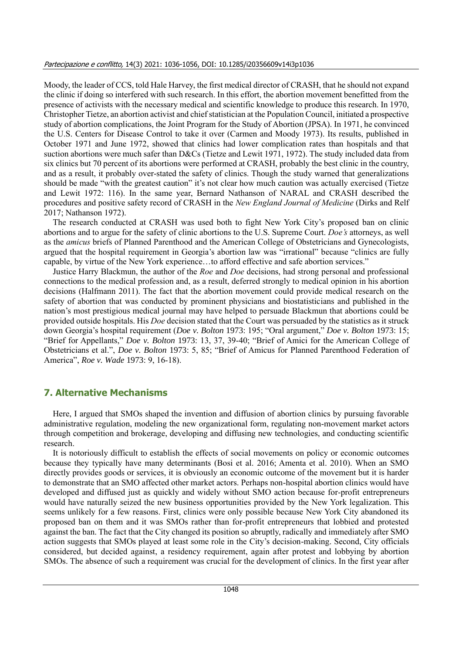Moody, the leader of CCS, told Hale Harvey, the first medical director of CRASH, that he should not expand the clinic if doing so interfered with such research. In this effort, the abortion movement benefitted from the presence of activists with the necessary medical and scientific knowledge to produce this research. In 1970, Christopher Tietze, an abortion activist and chief statistician at the Population Council, initiated a prospective study of abortion complications, the Joint Program for the Study of Abortion (JPSA). In 1971, he convinced the U.S. Centers for Disease Control to take it over (Carmen and Moody 1973). Its results, published in October 1971 and June 1972, showed that clinics had lower complication rates than hospitals and that suction abortions were much safer than D&Cs (Tietze and Lewit 1971, 1972). The study included data from six clinics but 70 percent of its abortions were performed at CRASH, probably the best clinic in the country, and as a result, it probably over-stated the safety of clinics. Though the study warned that generalizations should be made "with the greatest caution" it's not clear how much caution was actually exercised (Tietze and Lewit 1972: 116). In the same year, Bernard Nathanson of NARAL and CRASH described the procedures and positive safety record of CRASH in the *New England Journal of Medicine* (Dirks and Relf 2017; Nathanson 1972).

The research conducted at CRASH was used both to fight New York City's proposed ban on clinic abortions and to argue for the safety of clinic abortions to the U.S. Supreme Court. *Doe's* attorneys, as well as the *amicus* briefs of Planned Parenthood and the American College of Obstetricians and Gynecologists, argued that the hospital requirement in Georgia's abortion law was "irrational" because "clinics are fully capable, by virtue of the New York experience…to afford effective and safe abortion services."

Justice Harry Blackmun, the author of the *Roe* and *Doe* decisions, had strong personal and professional connections to the medical profession and, as a result, deferred strongly to medical opinion in his abortion decisions (Halfmann 2011). The fact that the abortion movement could provide medical research on the safety of abortion that was conducted by prominent physicians and biostatisticians and published in the nation's most prestigious medical journal may have helped to persuade Blackmun that abortions could be provided outside hospitals. His *Doe* decision stated that the Court was persuaded by the statistics as it struck down Georgia's hospital requirement (*Doe v. Bolton* 1973: 195; "Oral argument," *Doe v. Bolton* 1973: 15; "Brief for Appellants," *Doe v. Bolton* 1973: 13, 37, 39-40; "Brief of Amici for the American College of Obstetricians et al.", *Doe v. Bolton* 1973: 5, 85; "Brief of Amicus for Planned Parenthood Federation of America", *Roe v. Wade* 1973: 9, 16-18).

## **7. Alternative Mechanisms**

Here, I argued that SMOs shaped the invention and diffusion of abortion clinics by pursuing favorable administrative regulation, modeling the new organizational form, regulating non-movement market actors through competition and brokerage, developing and diffusing new technologies, and conducting scientific research.

It is notoriously difficult to establish the effects of social movements on policy or economic outcomes because they typically have many determinants (Bosi et al. 2016; Amenta et al. 2010). When an SMO directly provides goods or services, it is obviously an economic outcome of the movement but it is harder to demonstrate that an SMO affected other market actors. Perhaps non-hospital abortion clinics would have developed and diffused just as quickly and widely without SMO action because for-profit entrepreneurs would have naturally seized the new business opportunities provided by the New York legalization. This seems unlikely for a few reasons. First, clinics were only possible because New York City abandoned its proposed ban on them and it was SMOs rather than for-profit entrepreneurs that lobbied and protested against the ban. The fact that the City changed its position so abruptly, radically and immediately after SMO action suggests that SMOs played at least some role in the City's decision-making. Second, City officials considered, but decided against, a residency requirement, again after protest and lobbying by abortion SMOs. The absence of such a requirement was crucial for the development of clinics. In the first year after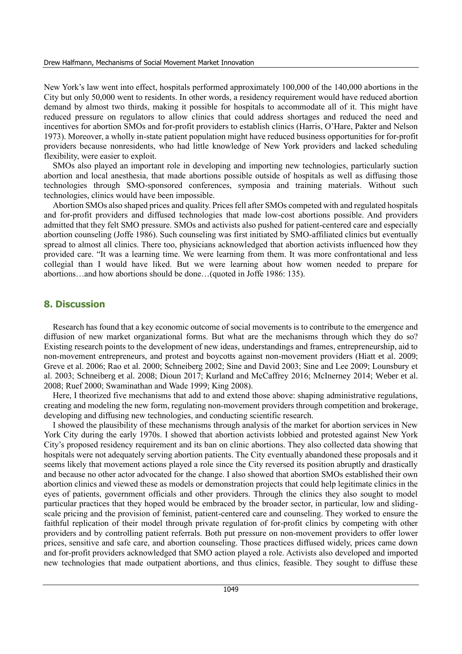New York's law went into effect, hospitals performed approximately 100,000 of the 140,000 abortions in the City but only 50,000 went to residents. In other words, a residency requirement would have reduced abortion demand by almost two thirds, making it possible for hospitals to accommodate all of it. This might have reduced pressure on regulators to allow clinics that could address shortages and reduced the need and incentives for abortion SMOs and for-profit providers to establish clinics (Harris, O'Hare, Pakter and Nelson 1973). Moreover, a wholly in-state patient population might have reduced business opportunities for for-profit providers because nonresidents, who had little knowledge of New York providers and lacked scheduling flexibility, were easier to exploit.

SMOs also played an important role in developing and importing new technologies, particularly suction abortion and local anesthesia, that made abortions possible outside of hospitals as well as diffusing those technologies through SMO-sponsored conferences, symposia and training materials. Without such technologies, clinics would have been impossible.

Abortion SMOs also shaped prices and quality. Prices fell after SMOs competed with and regulated hospitals and for-profit providers and diffused technologies that made low-cost abortions possible. And providers admitted that they felt SMO pressure. SMOs and activists also pushed for patient-centered care and especially abortion counseling (Joffe 1986). Such counseling was first initiated by SMO-affiliated clinics but eventually spread to almost all clinics. There too, physicians acknowledged that abortion activists influenced how they provided care. "It was a learning time. We were learning from them. It was more confrontational and less collegial than I would have liked. But we were learning about how women needed to prepare for abortions…and how abortions should be done…(quoted in Joffe 1986: 135).

#### **8. Discussion**

Research has found that a key economic outcome of social movements is to contribute to the emergence and diffusion of new market organizational forms. But what are the mechanisms through which they do so? Existing research points to the development of new ideas, understandings and frames, entrepreneurship, aid to non-movement entrepreneurs, and protest and boycotts against non-movement providers (Hiatt et al. 2009; Greve et al. 2006; Rao et al. 2000; Schneiberg 2002; Sine and David 2003; Sine and Lee 2009; Lounsbury et al. 2003; Schneiberg et al. 2008; Dioun 2017; Kurland and McCaffrey 2016; McInerney 2014; Weber et al. 2008; Ruef 2000; Swaminathan and Wade 1999; King 2008).

Here, I theorized five mechanisms that add to and extend those above: shaping administrative regulations, creating and modeling the new form, regulating non-movement providers through competition and brokerage, developing and diffusing new technologies, and conducting scientific research.

I showed the plausibility of these mechanisms through analysis of the market for abortion services in New York City during the early 1970s. I showed that abortion activists lobbied and protested against New York City's proposed residency requirement and its ban on clinic abortions. They also collected data showing that hospitals were not adequately serving abortion patients. The City eventually abandoned these proposals and it seems likely that movement actions played a role since the City reversed its position abruptly and drastically and because no other actor advocated for the change. I also showed that abortion SMOs established their own abortion clinics and viewed these as models or demonstration projects that could help legitimate clinics in the eyes of patients, government officials and other providers. Through the clinics they also sought to model particular practices that they hoped would be embraced by the broader sector, in particular, low and slidingscale pricing and the provision of feminist, patient-centered care and counseling. They worked to ensure the faithful replication of their model through private regulation of for-profit clinics by competing with other providers and by controlling patient referrals. Both put pressure on non-movement providers to offer lower prices, sensitive and safe care, and abortion counseling. Those practices diffused widely, prices came down and for-profit providers acknowledged that SMO action played a role. Activists also developed and imported new technologies that made outpatient abortions, and thus clinics, feasible. They sought to diffuse these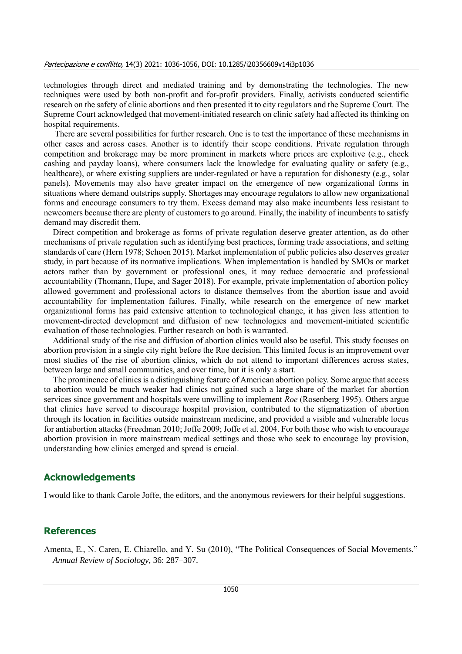technologies through direct and mediated training and by demonstrating the technologies. The new techniques were used by both non-profit and for-profit providers. Finally, activists conducted scientific research on the safety of clinic abortions and then presented it to city regulators and the Supreme Court. The Supreme Court acknowledged that movement-initiated research on clinic safety had affected its thinking on hospital requirements.

There are several possibilities for further research. One is to test the importance of these mechanisms in other cases and across cases. Another is to identify their scope conditions. Private regulation through competition and brokerage may be more prominent in markets where prices are exploitive (e.g., check cashing and payday loans), where consumers lack the knowledge for evaluating quality or safety (e.g., healthcare), or where existing suppliers are under-regulated or have a reputation for dishonesty (e.g., solar panels). Movements may also have greater impact on the emergence of new organizational forms in situations where demand outstrips supply. Shortages may encourage regulators to allow new organizational forms and encourage consumers to try them. Excess demand may also make incumbents less resistant to newcomers because there are plenty of customers to go around. Finally, the inability of incumbents to satisfy demand may discredit them.

Direct competition and brokerage as forms of private regulation deserve greater attention, as do other mechanisms of private regulation such as identifying best practices, forming trade associations, and setting standards of care (Hern 1978; Schoen 2015). Market implementation of public policies also deserves greater study, in part because of its normative implications. When implementation is handled by SMOs or market actors rather than by government or professional ones, it may reduce democratic and professional accountability (Thomann, Hupe, and Sager 2018). For example, private implementation of abortion policy allowed government and professional actors to distance themselves from the abortion issue and avoid accountability for implementation failures. Finally, while research on the emergence of new market organizational forms has paid extensive attention to technological change, it has given less attention to movement-directed development and diffusion of new technologies and movement-initiated scientific evaluation of those technologies. Further research on both is warranted.

Additional study of the rise and diffusion of abortion clinics would also be useful. This study focuses on abortion provision in a single city right before the Roe decision. This limited focus is an improvement over most studies of the rise of abortion clinics, which do not attend to important differences across states, between large and small communities, and over time, but it is only a start.

The prominence of clinics is a distinguishing feature of American abortion policy. Some argue that access to abortion would be much weaker had clinics not gained such a large share of the market for abortion services since government and hospitals were unwilling to implement *Roe* (Rosenberg 1995). Others argue that clinics have served to discourage hospital provision, contributed to the stigmatization of abortion through its location in facilities outside mainstream medicine, and provided a visible and vulnerable locus for antiabortion attacks (Freedman 2010; Joffe 2009; Joffe et al. 2004. For both those who wish to encourage abortion provision in more mainstream medical settings and those who seek to encourage lay provision, understanding how clinics emerged and spread is crucial.

#### **Acknowledgements**

I would like to thank Carole Joffe, the editors, and the anonymous reviewers for their helpful suggestions.

### **References**

Amenta, E., N. Caren, E. Chiarello, and Y. Su (2010), "The Political Consequences of Social Movements," *Annual Review of Sociology*, 36: 287–307.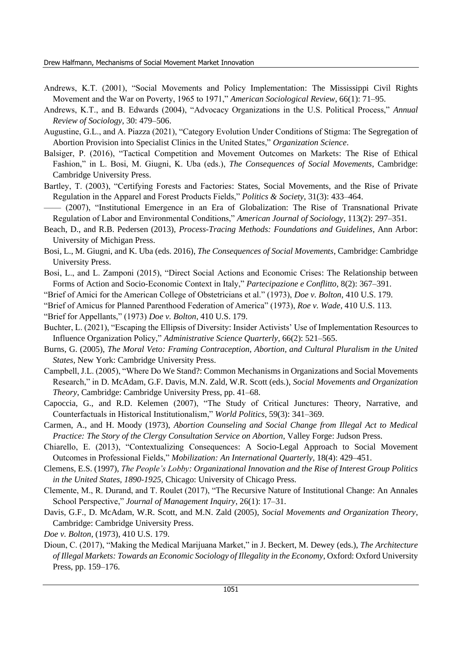- Andrews, K.T. (2001), "Social Movements and Policy Implementation: The Mississippi Civil Rights Movement and the War on Poverty, 1965 to 1971," *American Sociological Review*, 66(1): 71–95.
- Andrews, K.T., and B. Edwards (2004), "Advocacy Organizations in the U.S. Political Process," *Annual Review of Sociology*, 30: 479–506.
- Augustine, G.L., and A. Piazza (2021), "Category Evolution Under Conditions of Stigma: The Segregation of Abortion Provision into Specialist Clinics in the United States," *Organization Science*.
- Balsiger, P. (2016), "Tactical Competition and Movement Outcomes on Markets: The Rise of Ethical Fashion," in L. Bosi, M. Giugni, K. Uba (eds.), *The Consequences of Social Movements*, Cambridge: Cambridge University Press.
- Bartley, T. (2003), "Certifying Forests and Factories: States, Social Movements, and the Rise of Private Regulation in the Apparel and Forest Products Fields," *Politics & Society*, 31(3): 433–464.
- —— (2007), "Institutional Emergence in an Era of Globalization: The Rise of Transnational Private Regulation of Labor and Environmental Conditions," *American Journal of Sociology*, 113(2): 297–351.
- Beach, D., and R.B. Pedersen (2013), *Process-Tracing Methods: Foundations and Guidelines*, Ann Arbor: University of Michigan Press.
- Bosi, L., M. Giugni, and K. Uba (eds. 2016), *The Consequences of Social Movements*, Cambridge: Cambridge University Press.
- Bosi, L., and L. Zamponi (2015), "Direct Social Actions and Economic Crises: The Relationship between Forms of Action and Socio-Economic Context in Italy," *Partecipazione e Conflitto*, 8(2): 367–391.
- "Brief of Amici for the American College of Obstetricians et al." (1973), *Doe v. Bolton*, 410 U.S. 179.
- "Brief of Amicus for Planned Parenthood Federation of America" (1973), *Roe v. Wade*, 410 U.S. 113.
- "Brief for Appellants," (1973) *Doe v. Bolton*, 410 U.S. 179.
- Buchter, L. (2021), "Escaping the Ellipsis of Diversity: Insider Activists' Use of Implementation Resources to Influence Organization Policy," *Administrative Science Quarterly*, 66(2): 521–565.
- Burns, G. (2005), *The Moral Veto: Framing Contraception, Abortion, and Cultural Pluralism in the United States*, New York: Cambridge University Press.
- Campbell, J.L. (2005), "Where Do We Stand?: Common Mechanisms in Organizations and Social Movements Research," in D. McAdam, G.F. Davis, M.N. Zald, W.R. Scott (eds.), *Social Movements and Organization Theory*, Cambridge: Cambridge University Press, pp. 41–68.
- Capoccia, G., and R.D. Kelemen (2007), "The Study of Critical Junctures: Theory, Narrative, and Counterfactuals in Historical Institutionalism," *World Politics*, 59(3): 341–369.
- Carmen, A., and H. Moody (1973), *Abortion Counseling and Social Change from Illegal Act to Medical Practice: The Story of the Clergy Consultation Service on Abortion*, Valley Forge: Judson Press.
- Chiarello, E. (2013), "Contextualizing Consequences: A Socio-Legal Approach to Social Movement Outcomes in Professional Fields," *Mobilization: An International Quarterly*, 18(4): 429–451.
- Clemens, E.S. (1997), *The People's Lobby: Organizational Innovation and the Rise of Interest Group Politics in the United States, 1890-1925*, Chicago: University of Chicago Press.
- Clemente, M., R. Durand, and T. Roulet (2017), "The Recursive Nature of Institutional Change: An Annales School Perspective," *Journal of Management Inquiry*, 26(1): 17–31.
- Davis, G.F., D. McAdam, W.R. Scott, and M.N. Zald (2005), *Social Movements and Organization Theory*, Cambridge: Cambridge University Press.
- *Doe v. Bolton*, (1973), 410 U.S. 179.
- Dioun, C. (2017), "Making the Medical Marijuana Market," in J. Beckert, M. Dewey (eds.), *The Architecture of Illegal Markets: Towards an Economic Sociology of Illegality in the Economy*, Oxford: Oxford University Press, pp. 159–176.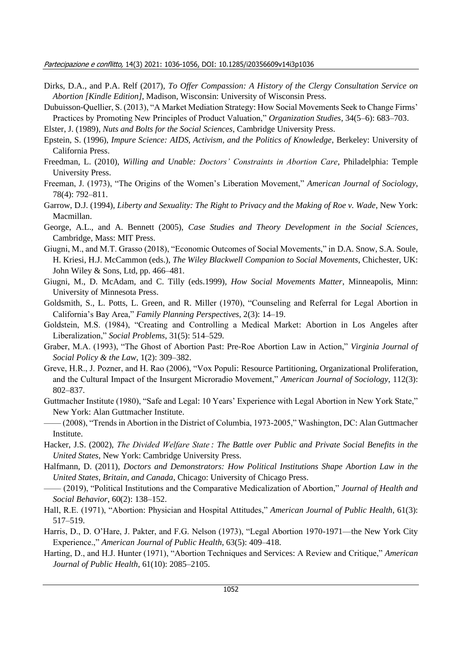- Dirks, D.A., and P.A. Relf (2017), *To Offer Compassion: A History of the Clergy Consultation Service on Abortion [Kindle Edition]*, Madison, Wisconsin: University of Wisconsin Press.
- Dubuisson-Quellier, S. (2013), "A Market Mediation Strategy: How Social Movements Seek to Change Firms' Practices by Promoting New Principles of Product Valuation," *Organization Studies*, 34(5–6): 683–703.
- Elster, J. (1989), *Nuts and Bolts for the Social Sciences*, Cambridge University Press.
- Epstein, S. (1996), *Impure Science: AIDS, Activism, and the Politics of Knowledge*, Berkeley: University of California Press.
- Freedman, L. (2010), *Willing and Unable: Doctors' Constraints in Abortion Care*, Philadelphia: Temple University Press.
- Freeman, J. (1973), "The Origins of the Women's Liberation Movement," *American Journal of Sociology*, 78(4): 792–811.
- Garrow, D.J. (1994), *Liberty and Sexuality: The Right to Privacy and the Making of Roe v. Wade*, New York: Macmillan.
- George, A.L., and A. Bennett (2005), *Case Studies and Theory Development in the Social Sciences*, Cambridge, Mass: MIT Press.
- Giugni, M., and M.T. Grasso (2018), "Economic Outcomes of Social Movements," in D.A. Snow, S.A. Soule, H. Kriesi, H.J. McCammon (eds.), *The Wiley Blackwell Companion to Social Movements*, Chichester, UK: John Wiley & Sons, Ltd, pp. 466–481.
- Giugni, M., D. McAdam, and C. Tilly (eds.1999), *How Social Movements Matter*, Minneapolis, Minn: University of Minnesota Press.
- Goldsmith, S., L. Potts, L. Green, and R. Miller (1970), "Counseling and Referral for Legal Abortion in California's Bay Area," *Family Planning Perspectives*, 2(3): 14–19.
- Goldstein, M.S. (1984), "Creating and Controlling a Medical Market: Abortion in Los Angeles after Liberalization," *Social Problems*, 31(5): 514–529.
- Graber, M.A. (1993), "The Ghost of Abortion Past: Pre-Roe Abortion Law in Action," *Virginia Journal of Social Policy & the Law*, 1(2): 309–382.
- Greve, H.R., J. Pozner, and H. Rao (2006), "Vox Populi: Resource Partitioning, Organizational Proliferation, and the Cultural Impact of the Insurgent Microradio Movement," *American Journal of Sociology*, 112(3): 802–837.
- Guttmacher Institute (1980), "Safe and Legal: 10 Years' Experience with Legal Abortion in New York State," New York: Alan Guttmacher Institute.
- —— (2008), "Trends in Abortion in the District of Columbia, 1973-2005," Washington, DC: Alan Guttmacher Institute.
- Hacker, J.S. (2002), *The Divided Welfare State : The Battle over Public and Private Social Benefits in the United States*, New York: Cambridge University Press.
- Halfmann, D. (2011), *Doctors and Demonstrators: How Political Institutions Shape Abortion Law in the United States, Britain, and Canada*, Chicago: University of Chicago Press.
- —— (2019), "Political Institutions and the Comparative Medicalization of Abortion," *Journal of Health and Social Behavior*, 60(2): 138–152.
- Hall, R.E. (1971), "Abortion: Physician and Hospital Attitudes," *American Journal of Public Health*, 61(3): 517–519.
- Harris, D., D. O'Hare, J. Pakter, and F.G. Nelson (1973), "Legal Abortion 1970-1971—the New York City Experience.," *American Journal of Public Health*, 63(5): 409–418.
- Harting, D., and H.J. Hunter (1971), "Abortion Techniques and Services: A Review and Critique," *American Journal of Public Health*, 61(10): 2085–2105.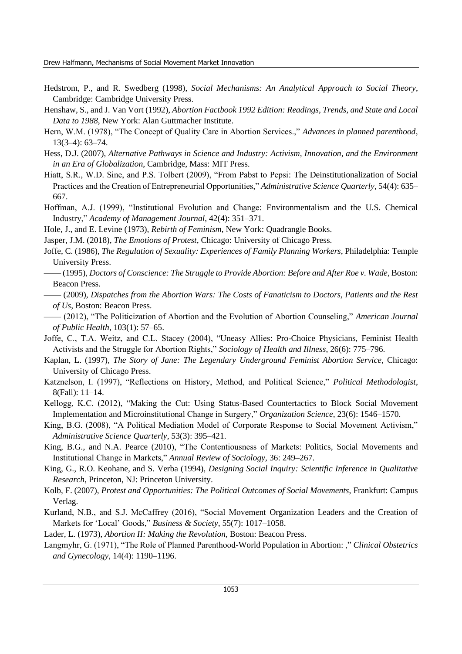- Hedstrom, P., and R. Swedberg (1998), *Social Mechanisms: An Analytical Approach to Social Theory*, Cambridge: Cambridge University Press.
- Henshaw, S., and J. Van Vort (1992), *Abortion Factbook 1992 Edition: Readings, Trends, and State and Local Data to 1988*, New York: Alan Guttmacher Institute.
- Hern, W.M. (1978), "The Concept of Quality Care in Abortion Services.," *Advances in planned parenthood*, 13(3–4): 63–74.
- Hess, D.J. (2007), *Alternative Pathways in Science and Industry: Activism, Innovation, and the Environment in an Era of Globalization*, Cambridge, Mass: MIT Press.
- Hiatt, S.R., W.D. Sine, and P.S. Tolbert (2009), "From Pabst to Pepsi: The Deinstitutionalization of Social Practices and the Creation of Entrepreneurial Opportunities," *Administrative Science Quarterly*, 54(4): 635– 667.
- Hoffman, A.J. (1999), "Institutional Evolution and Change: Environmentalism and the U.S. Chemical Industry," *Academy of Management Journal*, 42(4): 351–371.
- Hole, J., and E. Levine (1973), *Rebirth of Feminism*, New York: Quadrangle Books.
- Jasper, J.M. (2018), *The Emotions of Protest*, Chicago: University of Chicago Press.
- Joffe, C. (1986), *The Regulation of Sexuality: Experiences of Family Planning Workers*, Philadelphia: Temple University Press.
- —— (1995), *Doctors of Conscience: The Struggle to Provide Abortion: Before and After Roe v. Wade*, Boston: Beacon Press.
- —— (2009), *Dispatches from the Abortion Wars: The Costs of Fanaticism to Doctors, Patients and the Rest of Us*, Boston: Beacon Press.
- —— (2012), "The Politicization of Abortion and the Evolution of Abortion Counseling," *American Journal of Public Health*, 103(1): 57–65.
- Joffe, C., T.A. Weitz, and C.L. Stacey (2004), "Uneasy Allies: Pro-Choice Physicians, Feminist Health Activists and the Struggle for Abortion Rights," *Sociology of Health and Illness*, 26(6): 775–796.
- Kaplan, L. (1997), *The Story of Jane: The Legendary Underground Feminist Abortion Service*, Chicago: University of Chicago Press.
- Katznelson, I. (1997), "Reflections on History, Method, and Political Science," *Political Methodologist*, 8(Fall): 11–14.
- Kellogg, K.C. (2012), "Making the Cut: Using Status-Based Countertactics to Block Social Movement Implementation and Microinstitutional Change in Surgery," *Organization Science*, 23(6): 1546–1570.
- King, B.G. (2008), "A Political Mediation Model of Corporate Response to Social Movement Activism," *Administrative Science Quarterly*, 53(3): 395–421.
- King, B.G., and N.A. Pearce (2010), "The Contentiousness of Markets: Politics, Social Movements and Institutional Change in Markets," *Annual Review of Sociology*, 36: 249–267.
- King, G., R.O. Keohane, and S. Verba (1994), *Designing Social Inquiry: Scientific Inference in Qualitative Research*, Princeton, NJ: Princeton University.
- Kolb, F. (2007), *Protest and Opportunities: The Political Outcomes of Social Movements*, Frankfurt: Campus Verlag.
- Kurland, N.B., and S.J. McCaffrey (2016), "Social Movement Organization Leaders and the Creation of Markets for 'Local' Goods," *Business & Society*, 55(7): 1017–1058.
- Lader, L. (1973), *Abortion II: Making the Revolution*, Boston: Beacon Press.
- Langmyhr, G. (1971), "The Role of Planned Parenthood-World Population in Abortion: ," *Clinical Obstetrics and Gynecology*, 14(4): 1190–1196.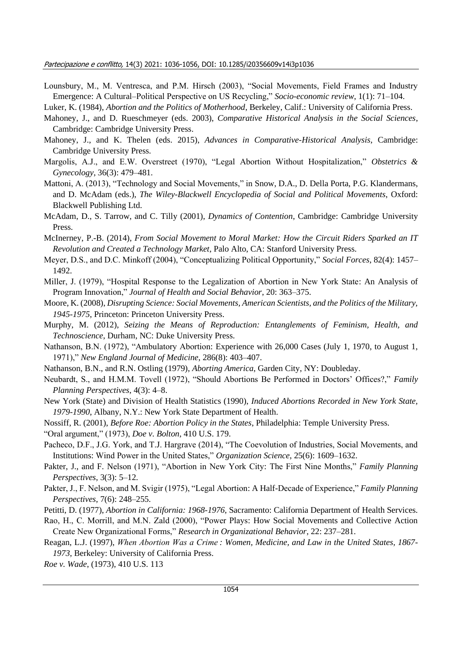Lounsbury, M., M. Ventresca, and P.M. Hirsch (2003), "Social Movements, Field Frames and Industry Emergence: A Cultural–Political Perspective on US Recycling," *Socio-economic review*, 1(1): 71–104.

Luker, K. (1984), *Abortion and the Politics of Motherhood*, Berkeley, Calif.: University of California Press.

- Mahoney, J., and D. Rueschmeyer (eds. 2003), *Comparative Historical Analysis in the Social Sciences*, Cambridge: Cambridge University Press.
- Mahoney, J., and K. Thelen (eds. 2015), *Advances in Comparative-Historical Analysis*, Cambridge: Cambridge University Press.
- Margolis, A.J., and E.W. Overstreet (1970), "Legal Abortion Without Hospitalization," *Obstetrics & Gynecology*, 36(3): 479–481.
- Mattoni, A. (2013), "Technology and Social Movements," in Snow, D.A., D. Della Porta, P.G. Klandermans, and D. McAdam (eds.), *The Wiley-Blackwell Encyclopedia of Social and Political Movements*, Oxford: Blackwell Publishing Ltd.
- McAdam, D., S. Tarrow, and C. Tilly (2001), *Dynamics of Contention*, Cambridge: Cambridge University Press.
- McInerney, P.-B. (2014), *From Social Movement to Moral Market: How the Circuit Riders Sparked an IT Revolution and Created a Technology Market*, Palo Alto, CA: Stanford University Press.
- Meyer, D.S., and D.C. Minkoff (2004), "Conceptualizing Political Opportunity," *Social Forces*, 82(4): 1457– 1492.
- Miller, J. (1979), "Hospital Response to the Legalization of Abortion in New York State: An Analysis of Program Innovation," *Journal of Health and Social Behavior*, 20: 363–375.
- Moore, K. (2008), *Disrupting Science: Social Movements, American Scientists, and the Politics of the Military, 1945-1975*, Princeton: Princeton University Press.
- Murphy, M. (2012), *Seizing the Means of Reproduction: Entanglements of Feminism, Health, and Technoscience*, Durham, NC: Duke University Press.
- Nathanson, B.N. (1972), "Ambulatory Abortion: Experience with 26,000 Cases (July 1, 1970, to August 1, 1971)," *New England Journal of Medicine*, 286(8): 403–407.
- Nathanson, B.N., and R.N. Ostling (1979), *Aborting America*, Garden City, NY: Doubleday.
- Neubardt, S., and H.M.M. Tovell (1972), "Should Abortions Be Performed in Doctors' Offices?," *Family Planning Perspectives*, 4(3): 4–8.
- New York (State) and Division of Health Statistics (1990), *Induced Abortions Recorded in New York State, 1979-1990*, Albany, N.Y.: New York State Department of Health.
- Nossiff, R. (2001), *Before Roe: Abortion Policy in the States*, Philadelphia: Temple University Press.

"Oral argument," (1973), *Doe v. Bolton*, 410 U.S. 179.

- Pacheco, D.F., J.G. York, and T.J. Hargrave (2014), "The Coevolution of Industries, Social Movements, and Institutions: Wind Power in the United States," *Organization Science*, 25(6): 1609–1632.
- Pakter, J., and F. Nelson (1971), "Abortion in New York City: The First Nine Months," *Family Planning Perspectives*, 3(3): 5–12.
- Pakter, J., F. Nelson, and M. Svigir (1975), "Legal Abortion: A Half-Decade of Experience," *Family Planning Perspectives*, 7(6): 248–255.
- Petitti, D. (1977), *Abortion in California: 1968-1976*, Sacramento: California Department of Health Services.
- Rao, H., C. Morrill, and M.N. Zald (2000), "Power Plays: How Social Movements and Collective Action Create New Organizational Forms," *Research in Organizational Behavior*, 22: 237–281.
- Reagan, L.J. (1997), *When Abortion Was a Crime : Women, Medicine, and Law in the United States, 1867- 1973*, Berkeley: University of California Press.

*Roe v. Wade*, (1973), 410 U.S. 113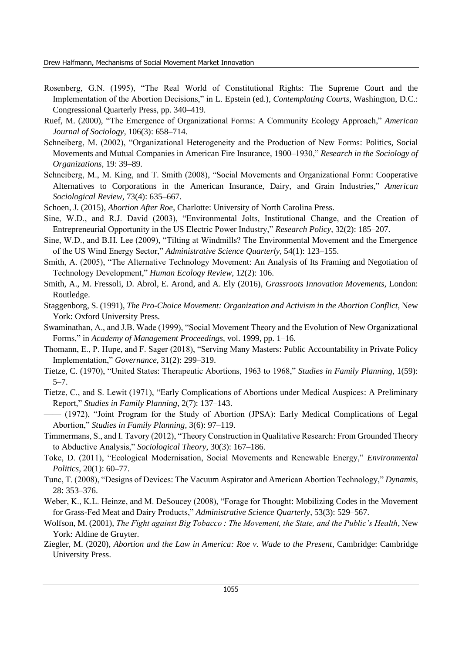- Rosenberg, G.N. (1995), "The Real World of Constitutional Rights: The Supreme Court and the Implementation of the Abortion Decisions," in L. Epstein (ed.), *Contemplating Courts*, Washington, D.C.: Congressional Quarterly Press, pp. 340–419.
- Ruef, M. (2000), "The Emergence of Organizational Forms: A Community Ecology Approach," *American Journal of Sociology*, 106(3): 658–714.
- Schneiberg, M. (2002), "Organizational Heterogeneity and the Production of New Forms: Politics, Social Movements and Mutual Companies in American Fire Insurance, 1900–1930," *Research in the Sociology of Organizations*, 19: 39–89.
- Schneiberg, M., M. King, and T. Smith (2008), "Social Movements and Organizational Form: Cooperative Alternatives to Corporations in the American Insurance, Dairy, and Grain Industries," *American Sociological Review*, 73(4): 635–667.
- Schoen, J. (2015), *Abortion After Roe*, Charlotte: University of North Carolina Press.
- Sine, W.D., and R.J. David (2003), "Environmental Jolts, Institutional Change, and the Creation of Entrepreneurial Opportunity in the US Electric Power Industry," *Research Policy*, 32(2): 185–207.
- Sine, W.D., and B.H. Lee (2009), "Tilting at Windmills? The Environmental Movement and the Emergence of the US Wind Energy Sector," *Administrative Science Quarterly*, 54(1): 123–155.
- Smith, A. (2005), "The Alternative Technology Movement: An Analysis of Its Framing and Negotiation of Technology Development," *Human Ecology Review*, 12(2): 106.
- Smith, A., M. Fressoli, D. Abrol, E. Arond, and A. Ely (2016), *Grassroots Innovation Movements*, London: Routledge.
- Staggenborg, S. (1991), *The Pro-Choice Movement: Organization and Activism in the Abortion Conflict*, New York: Oxford University Press.
- Swaminathan, A., and J.B. Wade (1999), "Social Movement Theory and the Evolution of New Organizational Forms," in *Academy of Management Proceedings*, vol. 1999, pp. 1–16.
- Thomann, E., P. Hupe, and F. Sager (2018), "Serving Many Masters: Public Accountability in Private Policy Implementation," *Governance*, 31(2): 299–319.
- Tietze, C. (1970), "United States: Therapeutic Abortions, 1963 to 1968," *Studies in Family Planning*, 1(59):  $5 - 7$ .
- Tietze, C., and S. Lewit (1971), "Early Complications of Abortions under Medical Auspices: A Preliminary Report," *Studies in Family Planning*, 2(7): 137–143.
- —— (1972), "Joint Program for the Study of Abortion (JPSA): Early Medical Complications of Legal Abortion," *Studies in Family Planning*, 3(6): 97–119.
- Timmermans, S., and I. Tavory (2012), "Theory Construction in Qualitative Research: From Grounded Theory to Abductive Analysis," *Sociological Theory*, 30(3): 167–186.
- Toke, D. (2011), "Ecological Modernisation, Social Movements and Renewable Energy," *Environmental Politics*, 20(1): 60–77.
- Tunc, T. (2008), "Designs of Devices: The Vacuum Aspirator and American Abortion Technology," *Dynamis*, 28: 353–376.
- Weber, K., K.L. Heinze, and M. DeSoucey (2008), "Forage for Thought: Mobilizing Codes in the Movement for Grass-Fed Meat and Dairy Products," *Administrative Science Quarterly*, 53(3): 529–567.
- Wolfson, M. (2001), *The Fight against Big Tobacco : The Movement, the State, and the Public's Health*, New York: Aldine de Gruyter.
- Ziegler, M. (2020), *Abortion and the Law in America: Roe v. Wade to the Present*, Cambridge: Cambridge University Press.